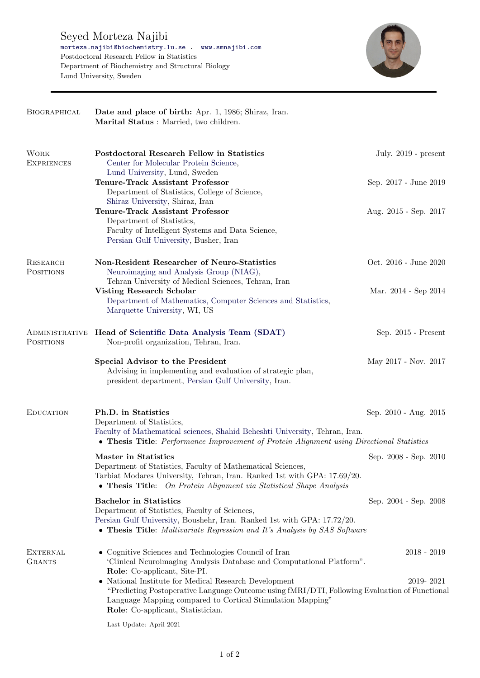

| BIOGRAPHICAL                        | Date and place of birth: Apr. 1, 1986; Shiraz, Iran.<br>Marital Status: Married, two children.                                                                                                                                                            |                        |
|-------------------------------------|-----------------------------------------------------------------------------------------------------------------------------------------------------------------------------------------------------------------------------------------------------------|------------------------|
| <b>WORK</b><br><b>EXPRIENCES</b>    | Postdoctoral Research Fellow in Statistics<br>Center for Molecular Protein Science,<br>Lund University, Lund, Sweden                                                                                                                                      | July. $2019$ - present |
|                                     | <b>Tenure-Track Assistant Professor</b><br>Department of Statistics, College of Science,<br>Shiraz University, Shiraz, Iran                                                                                                                               | Sep. 2017 - June 2019  |
|                                     | <b>Tenure-Track Assistant Professor</b><br>Department of Statistics,<br>Faculty of Intelligent Systems and Data Science,<br>Persian Gulf University, Busher, Iran                                                                                         | Aug. 2015 - Sep. 2017  |
| <b>RESEARCH</b><br><b>POSITIONS</b> | Non-Resident Researcher of Neuro-Statistics<br>Neuroimaging and Analysis Group (NIAG),<br>Tehran University of Medical Sciences, Tehran, Iran                                                                                                             | Oct. 2016 - June 2020  |
|                                     | <b>Visting Research Scholar</b><br>Department of Mathematics, Computer Sciences and Statistics,<br>Marquette University, WI, US                                                                                                                           | Mar. 2014 - Sep 2014   |
| <b>POSITIONS</b>                    | ADMINISTRATIVE Head of Scientific Data Analysis Team (SDAT)<br>Non-profit organization, Tehran, Iran.                                                                                                                                                     | Sep. 2015 - Present    |
|                                     | Special Advisor to the President<br>Advising in implementing and evaluation of strategic plan,<br>president department, Persian Gulf University, Iran.                                                                                                    | May 2017 - Nov. 2017   |
| <b>EDUCATION</b>                    | Ph.D. in Statistics<br>Department of Statistics,<br>Faculty of Mathematical sciences, Shahid Beheshti University, Tehran, Iran.<br>• Thesis Title: Performance Improvement of Protein Alignment using Directional Statistics                              | Sep. 2010 - Aug. 2015  |
|                                     | <b>Master in Statistics</b><br>Department of Statistics, Faculty of Mathematical Sciences<br>Tarbiat Modares University, Tehran, Iran. Ranked 1st with GPA: 17.69/20.<br>• Thesis Title: On Protein Alignment via Statistical Shape Analysis              | Sep. 2008 - Sep. 2010  |
|                                     | <b>Bachelor</b> in Statistics<br>Department of Statistics, Faculty of Sciences,<br>Persian Gulf University, Boushehr, Iran. Ranked 1st with GPA: 17.72/20.<br>• Thesis Title: Multivariate Regression and It's Analysis by SAS Software                   | Sep. 2004 - Sep. 2008  |
| <b>EXTERNAL</b><br><b>GRANTS</b>    | • Cognitive Sciences and Technologies Council of Iran<br>'Clinical Neuroimaging Analysis Database and Computational Platform".<br>Role: Co-applicant, Site-PI.                                                                                            | $2018 - 2019$          |
|                                     | • National Institute for Medical Research Development<br>"Predicting Postoperative Language Outcome using fMRI/DTI, Following Evaluation of Functional<br>Language Mapping compared to Cortical Stimulation Mapping"<br>Role: Co-applicant, Statistician. | 2019-2021              |

Last Update: April 2021